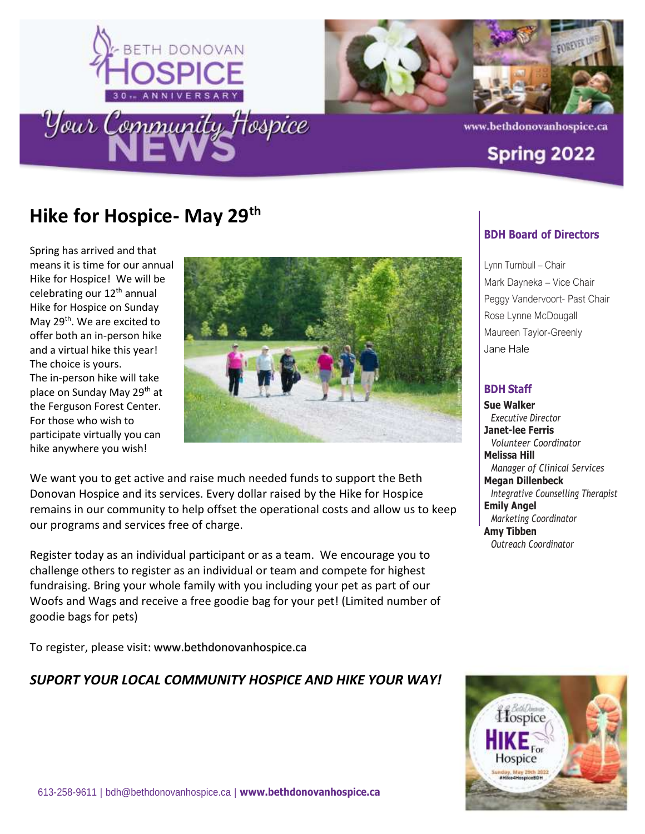



www.bethdonovanhospice.ca

#### **Spring 2022**

### **Hike for Hospice- May 29th**

Spring has arrived and that means it is time for our annual Hike for Hospice! We will be celebrating our 12<sup>th</sup> annual Hike for Hospice on Sunday May 29<sup>th</sup>. We are excited to offer both an in-person hike and a virtual hike this year! The choice is yours. The in-person hike will take place on Sunday May 29<sup>th</sup> at the Ferguson Forest Center. For those who wish to participate virtually you can hike anywhere you wish!



We want you to get active and raise much needed funds to support the Beth Donovan Hospice and its services. Every dollar raised by the Hike for Hospice remains in our community to help offset the operational costs and allow us to keep our programs and services free of charge.

Register today as an individual participant or as a team. We encourage you to challenge others to register as an individual or team and compete for highest fundraising. Bring your whole family with you including your pet as part of our Woofs and Wags and receive a free goodie bag for your pet! (Limited number of goodie bags for pets)

To register, please visit: [www.bethdonovanhospice.ca](about:blank)

#### *SUPORT YOUR LOCAL COMMUNITY HOSPICE AND HIKE YOUR WAY!*

#### **BDH Board of Directors**

Lynn Turnbull – Chair Mark Dayneka – Vice Chair Peggy Vandervoort- Past Chair Rose Lynne McDougall Maureen Taylor-Greenly Jane Hale

#### **BDH Staff**

**Sue Walker** *Executive Director* **Janet-lee Ferris** *Volunteer Coordinator* **Melissa Hill** *Manager of Clinical Services* **Megan Dillenbeck** *Integrative Counselling Therapist* **Emily Angel**  *Marketing Coordinator* **Amy Tibben** *Outreach Coordinator*

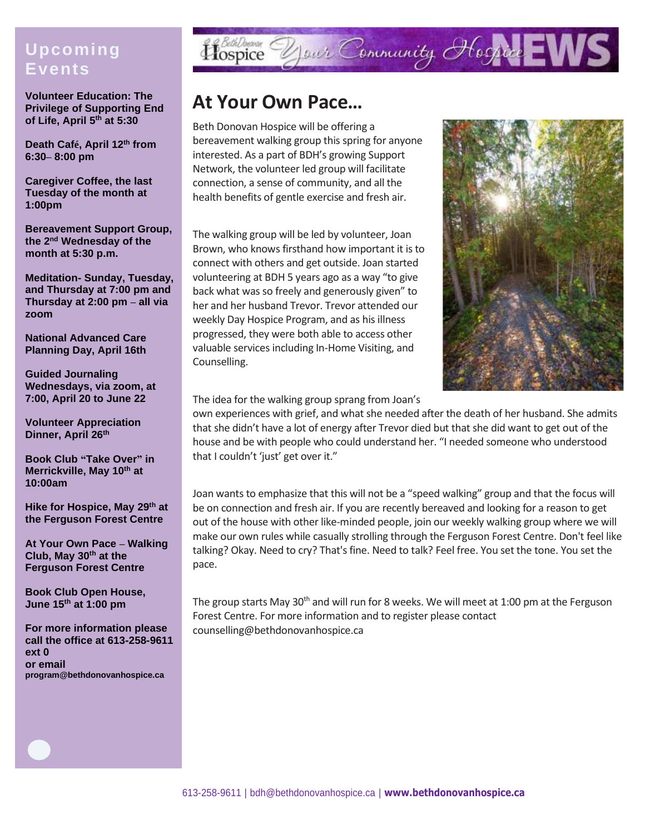#### **Upcoming Events**

**Volunteer Education: The Privilege of Supporting End of Life, April 5th at 5:30**

**Death Café, April 12th from 6:30– 8:00 pm**

**Caregiver Coffee, the last Tuesday of the month at 1:00pm**

**Bereavement Support Group, the 2 nd Wednesday of the month at 5:30 p.m.**

**Meditation- Sunday, Tuesday, and Thursday at 7:00 pm and Thursday at 2:00 pm – all via zoom**

**National Advanced Care Planning Day, April 16th**

**Guided Journaling Wednesdays, via zoom, at 7:00, April 20 to June 22**

**Volunteer Appreciation Dinner, April 26th**

**Book Club "Take Over" in Merrickville, May 10th at 10:00am**

**Hike for Hospice, May 29th at the Ferguson Forest Centre**

**At Your Own Pace – Walking Club, May 30th at the Ferguson Forest Centre**

**Book Club Open House, June 15th at 1:00 pm**

**For more information please call the office at 613-258-9611 ext 0 or email program@bethdonovanhospice.ca**

# Hospice Your Community Hospice EWS

### **At Your Own Pace…**

Beth Donovan Hospice will be offering a bereavement walking group this spring for anyone interested. As a part of BDH's growing Support Network, the volunteer led group will facilitate connection, a sense of community, and all the health benefits of gentle exercise and fresh air.

The walking group will be led by volunteer, Joan Brown, who knows firsthand how important it is to connect with others and get outside. Joan started volunteering at BDH 5 years ago as a way "to give back what was so freely and generously given" to her and her husband Trevor. Trevor attended our weekly Day Hospice Program, and as his illness progressed, they were both able to access other valuable services including In-Home Visiting, and Counselling.



The idea for the walking group sprang from Joan's

own experiences with grief, and what she needed after the death of her husband. She admits that she didn't have a lot of energy after Trevor died but that she did want to get out of the house and be with people who could understand her. "I needed someone who understood that I couldn't 'just' get over it."

Joan wants to emphasize that this will not be a "speed walking" group and that the focus will be on connection and fresh air. If you are recently bereaved and looking for a reason to get out of the house with other like-minded people, join our weekly walking group where we will make our own rules while casually strolling through the Ferguson Forest Centre. Don't feel like talking? Okay. Need to cry? That's fine. Need to talk? Feel free. You set the tone. You set the pace.

The group starts May 30<sup>th</sup> and will run for 8 weeks. We will meet at 1:00 pm at the Ferguson Forest Centre. For more information and to register please contact counselling@bethdonovanhospice.ca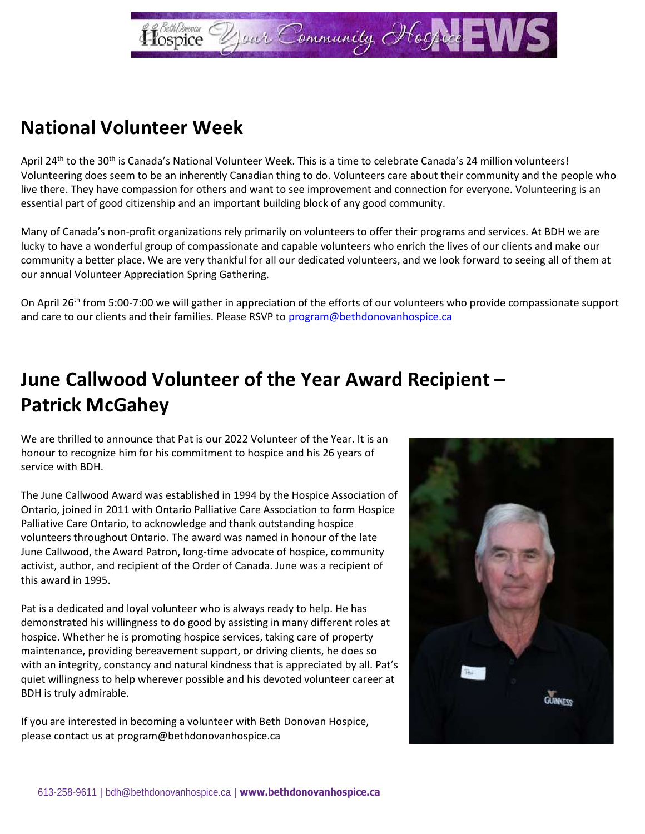

### **National Volunteer Week**

April 24<sup>th</sup> to the 30<sup>th</sup> is Canada's National Volunteer Week. This is a time to celebrate Canada's 24 million volunteers! Volunteering does seem to be an inherently Canadian thing to do. Volunteers care about their community and the people who live there. They have compassion for others and want to see improvement and connection for everyone. Volunteering is an essential part of good citizenship and an important building block of any good community.

Many of Canada's non-profit organizations rely primarily on volunteers to offer their programs and services. At BDH we are lucky to have a wonderful group of compassionate and capable volunteers who enrich the lives of our clients and make our community a better place. We are very thankful for all our dedicated volunteers, and we look forward to seeing all of them at our annual Volunteer Appreciation Spring Gathering.

On April 26<sup>th</sup> from 5:00-7:00 we will gather in appreciation of the efforts of our volunteers who provide compassionate support and care to our clients and their families. Please RSVP to [program@bethdonovanhospice.ca](about:blank)

# **June Callwood Volunteer of the Year Award Recipient – Patrick McGahey**

We are thrilled to announce that Pat is our 2022 Volunteer of the Year. It is an honour to recognize him for his commitment to hospice and his 26 years of service with BDH.

The June Callwood Award was established in 1994 by the Hospice Association of Ontario, joined in 2011 with Ontario Palliative Care Association to form Hospice Palliative Care Ontario, to acknowledge and thank outstanding hospice volunteers throughout Ontario. The award was named in honour of the late June Callwood, the Award Patron, long-time advocate of hospice, community activist, author, and recipient of the Order of Canada. June was a recipient of this award in 1995.

Pat is a dedicated and loyal volunteer who is always ready to help. He has demonstrated his willingness to do good by assisting in many different roles at hospice. Whether he is promoting hospice services, taking care of property maintenance, providing bereavement support, or driving clients, he does so with an integrity, constancy and natural kindness that is appreciated by all. Pat's quiet willingness to help wherever possible and his devoted volunteer career at BDH is truly admirable.

If you are interested in becoming a volunteer with Beth Donovan Hospice, please contact us at program@bethdonovanhospice.ca

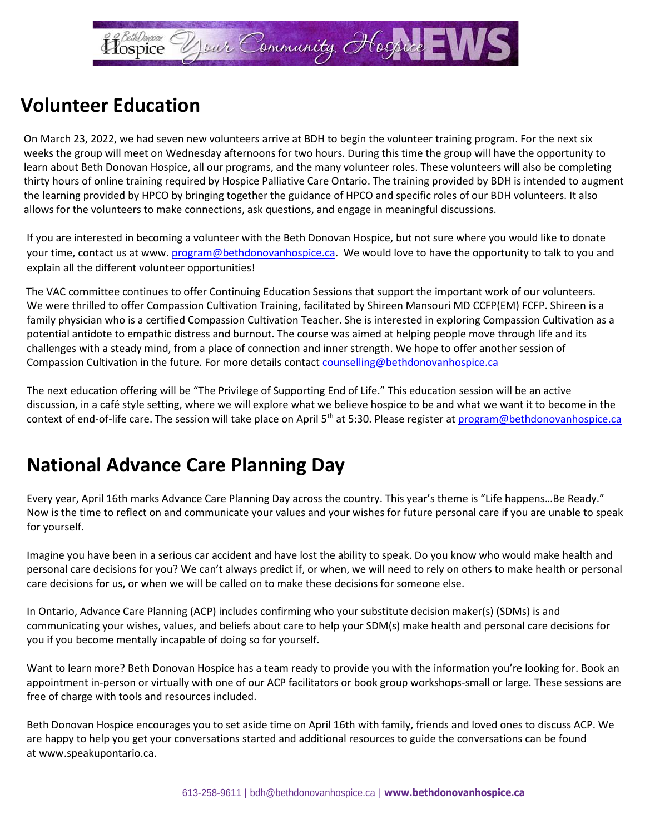

### **Volunteer Education**

On March 23, 2022, we had seven new volunteers arrive at BDH to begin the volunteer training program. For the next six weeks the group will meet on Wednesday afternoons for two hours. During this time the group will have the opportunity to learn about Beth Donovan Hospice, all our programs, and the many volunteer roles. These volunteers will also be completing thirty hours of online training required by Hospice Palliative Care Ontario. The training provided by BDH is intended to augment the learning provided by HPCO by bringing together the guidance of HPCO and specific roles of our BDH volunteers. It also allows for the volunteers to make connections, ask questions, and engage in meaningful discussions.

If you are interested in becoming a volunteer with the Beth Donovan Hospice, but not sure where you would like to donate your time, contact us at www. [program@bethdonovanhospice.ca.](about:blank) We would love to have the opportunity to talk to you and explain all the different volunteer opportunities!

The VAC committee continues to offer Continuing Education Sessions that support the important work of our volunteers. We were thrilled to offer Compassion Cultivation Training, facilitated by Shireen Mansouri MD CCFP(EM) FCFP. Shireen is a family physician who is a certified Compassion Cultivation Teacher. She is interested in exploring Compassion Cultivation as a potential antidote to empathic distress and burnout. The course was aimed at helping people move through life and its challenges with a steady mind, from a place of connection and inner strength. We hope to offer another session of Compassion Cultivation in the future. For more details contact [counselling@bethdonovanhospice.ca](about:blank)

The next education offering will be "The Privilege of Supporting End of Life." This education session will be an active discussion, in a café style setting, where we will explore what we believe hospice to be and what we want it to become in the context of end-of-life care. The session will take place on April 5<sup>th</sup> at 5:30. Please register at [program@bethdonovanhospice.ca](about:blank)

### **National Advance Care Planning Day**

Every year, April 16th marks Advance Care Planning Day across the country. This year's theme is "Life happens…Be Ready." Now is the time to reflect on and communicate your values and your wishes for future personal care if you are unable to speak for yourself.

Imagine you have been in a serious car accident and have lost the ability to speak. Do you know who would make health and personal care decisions for you? We can't always predict if, or when, we will need to rely on others to make health or personal care decisions for us, or when we will be called on to make these decisions for someone else.

In Ontario, Advance Care Planning (ACP) includes confirming who your substitute decision maker(s) (SDMs) is and communicating your wishes, values, and beliefs about care to help your SDM(s) make health and personal care decisions for you if you become mentally incapable of doing so for yourself.

Want to learn more? Beth Donovan Hospice has a team ready to provide you with the information you're looking for. Book an appointment in-person or virtually with one of our ACP facilitators or book group workshops-small or large. These sessions are free of charge with tools and resources included.

Beth Donovan Hospice encourages you to set aside time on April 16th with family, friends and loved ones to discuss ACP. We are happy to help you get your conversations started and additional resources to guide the conversations can be found at [www.speakupontario.ca.](about:blank)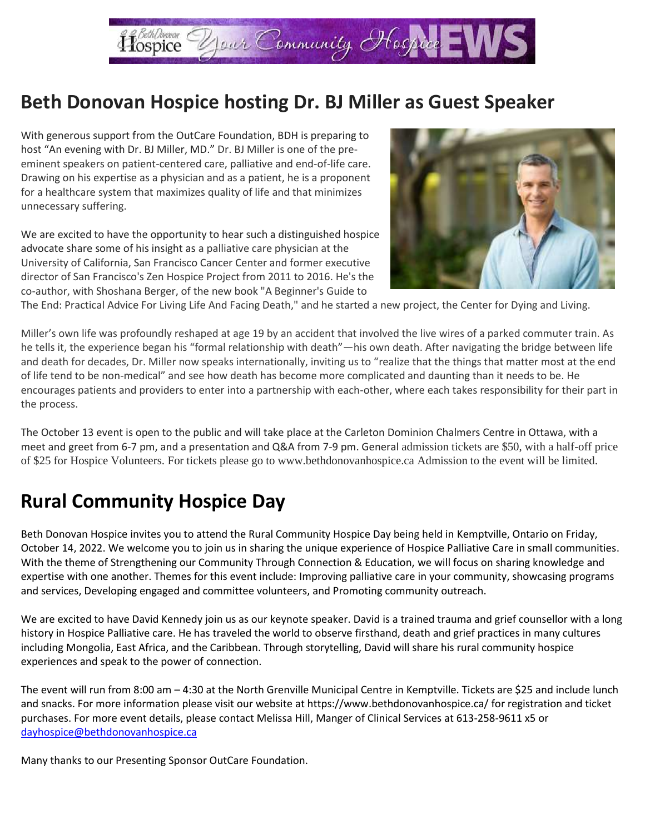

### **Beth Donovan Hospice hosting Dr. BJ Miller as Guest Speaker**

With generous support from the OutCare Foundation, BDH is preparing to host "An evening with Dr. BJ Miller, MD." Dr. BJ Miller is one of the preeminent speakers on patient-centered care, palliative and end-of-life care. Drawing on his expertise as a physician and as a patient, he is a proponent for a healthcare system that maximizes quality of life and that minimizes unnecessary suffering.

We are excited to have the opportunity to hear such a distinguished hospice advocate share some of his insight as a palliative care physician at the University of California, San Francisco Cancer Center and former executive director of San Francisco's Zen Hospice Project from 2011 to 2016. He's the co-author, with Shoshana Berger, of the new book "A Beginner's Guide to



The End: Practical Advice For Living Life And Facing Death," and he started a new project, the Center for Dying and Living.

Miller's own life was profoundly reshaped at age 19 by an accident that involved the live wires of a parked commuter train. As he tells it, the experience began his "formal relationship with death"—his own death. After navigating the bridge between life and death for decades, Dr. Miller now speaks internationally, inviting us to "realize that the things that matter most at the end of life tend to be non-medical" and see how death has become more complicated and daunting than it needs to be. He encourages patients and providers to enter into a partnership with each-other, where each takes responsibility for their part in the process.

The October 13 event is open to the public and will take place at the Carleton Dominion Chalmers Centre in Ottawa, with a meet and greet from 6-7 pm, and a presentation and Q&A from 7-9 pm. General admission tickets are \$50, with a half-off price of \$25 for Hospice Volunteers. For tickets please go to www.bethdonovanhospice.ca Admission to the event will be limited.

## **Rural Community Hospice Day**

Beth Donovan Hospice invites you to attend the Rural Community Hospice Day being held in Kemptville, Ontario on Friday, October 14, 2022. We welcome you to join us in sharing the unique experience of Hospice Palliative Care in small communities. With the theme of Strengthening our Community Through Connection & Education, we will focus on sharing knowledge and expertise with one another. Themes for this event include: Improving palliative care in your community, showcasing programs and services, Developing engaged and committee volunteers, and Promoting community outreach.

We are excited to have David Kennedy join us as our keynote speaker. David is a trained trauma and grief counsellor with a long history in Hospice Palliative care. He has traveled the world to observe firsthand, death and grief practices in many cultures including Mongolia, East Africa, and the Caribbean. Through storytelling, David will share his rural community hospice experiences and speak to the power of connection.

The event will run from 8:00 am – 4:30 at the North Grenville Municipal Centre in Kemptville. Tickets are \$25 and include lunch and snacks. For more information please visit our website at https://www.bethdonovanhospice.ca/ for registration and ticket purchases. For more event details, please contact Melissa Hill, Manger of Clinical Services at 613-258-9611 x5 or [dayhospice@bethdonovanhospice.ca](about:blank)

Many thanks to our Presenting Sponsor OutCare Foundation.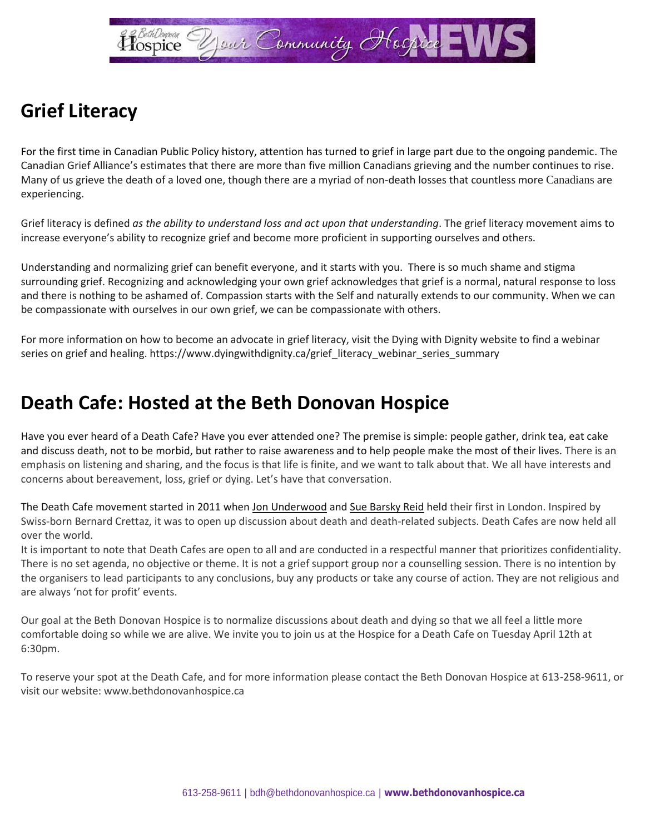

# **Grief Literacy**

For the first time in Canadian Public Policy history, attention has turned to grief in large part due to the ongoing pandemic. The Canadian Grief Alliance's estimates that there are more than five million Canadians grieving and the number continues to rise. Many of us grieve the death of a loved one, though there are a myriad of non-death losses that countless more Canadians are experiencing.

Grief literacy is defined *as the ability to understand loss and act upon that understanding*. The grief literacy movement aims to increase everyone's ability to recognize grief and become more proficient in supporting ourselves and others.

Understanding and normalizing grief can benefit everyone, and it starts with you. There is so much shame and stigma surrounding grief. Recognizing and acknowledging your own grief acknowledges that grief is a normal, natural response to loss and there is nothing to be ashamed of. Compassion starts with the Self and naturally extends to our community. When we can be compassionate with ourselves in our own grief, we can be compassionate with others.

For more information on how to become an advocate in grief literacy, visit the Dying with Dignity website to find a webinar series on grief and healing. https://www.dyingwithdignity.ca/grief\_literacy\_webinar\_series\_summary

#### **Death Cafe: Hosted at the Beth Donovan Hospice**

Have you ever heard of a Death Cafe? Have you ever attended one? The premise is simple: people gather, drink tea, eat cake and discuss death, not to be morbid, but rather to raise awareness and to help people make the most of their lives. There is an emphasis on listening and sharing, and the focus is that life is finite, and we want to talk about that. We all have interests and concerns about bereavement, loss, grief or dying. Let's have that conversation.

The Death Cafe movement started in 2011 whe[n Jon Underwood](about:blank) and [Sue Barsky Reid](about:blank) held their first in London. Inspired by Swiss-born Bernard Crettaz, it was to open up discussion about death and death-related subjects. Death Cafes are now held all over the world.

It is important to note that Death Cafes are open to all and are conducted in a respectful manner that prioritizes confidentiality. There is no set agenda, no objective or theme. It is not a grief support group nor a counselling session. There is no intention by the organisers to lead participants to any conclusions, buy any products or take any course of action. They are not religious and are always 'not for profit' events.

Our goal at the Beth Donovan Hospice is to normalize discussions about death and dying so that we all feel a little more comfortable doing so while we are alive. We invite you to join us at the Hospice for a Death Cafe on Tuesday April 12th at 6:30pm.

To reserve your spot at the Death Cafe, and for more information please contact the Beth Donovan Hospice at 613-258-9611, or visit our website: www.bethdonovanhospice.ca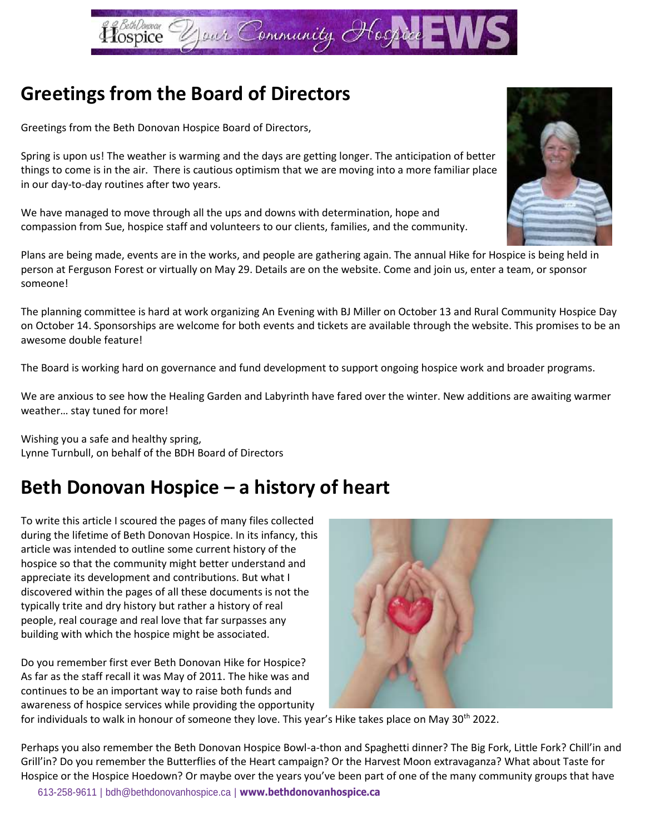

## **Greetings from the Board of Directors**

Greetings from the Beth Donovan Hospice Board of Directors,

Spring is upon us! The weather is warming and the days are getting longer. The anticipation of better things to come is in the air. There is cautious optimism that we are moving into a more familiar place in our day-to-day routines after two years.

We have managed to move through all the ups and downs with determination, hope and compassion from Sue, hospice staff and volunteers to our clients, families, and the community.

Plans are being made, events are in the works, and people are gathering again. The annual Hike for Hospice is being held in person at Ferguson Forest or virtually on May 29. Details are on the website. Come and join us, enter a team, or sponsor someone!

The planning committee is hard at work organizing An Evening with BJ Miller on October 13 and Rural Community Hospice Day on October 14. Sponsorships are welcome for both events and tickets are available through the website. This promises to be an awesome double feature!

The Board is working hard on governance and fund development to support ongoing hospice work and broader programs.

We are anxious to see how the Healing Garden and Labyrinth have fared over the winter. New additions are awaiting warmer weather… stay tuned for more!

Wishing you a safe and healthy spring, Lynne Turnbull, on behalf of the BDH Board of Directors

## **Beth Donovan Hospice – a history of heart**

To write this article I scoured the pages of many files collected during the lifetime of Beth Donovan Hospice. In its infancy, this article was intended to outline some current history of the hospice so that the community might better understand and appreciate its development and contributions. But what I discovered within the pages of all these documents is not the typically trite and dry history but rather a history of real people, real courage and real love that far surpasses any building with which the hospice might be associated.

Do you remember first ever Beth Donovan Hike for Hospice? As far as the staff recall it was May of 2011. The hike was and continues to be an important way to raise both funds and awareness of hospice services while providing the opportunity



for individuals to walk in honour of someone they love. This year's Hike takes place on May 30th 2022.

Perhaps you also remember the Beth Donovan Hospice Bowl-a-thon and Spaghetti dinner? The Big Fork, Little Fork? Chill'in and Grill'in? Do you remember the Butterflies of the Heart campaign? Or the Harvest Moon extravaganza? What about Taste for Hospice or the Hospice Hoedown? Or maybe over the years you've been part of one of the many community groups that have